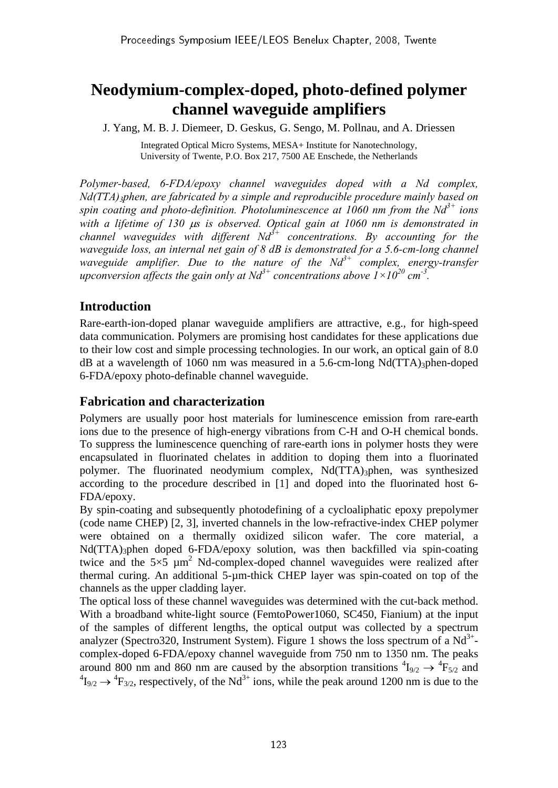# **Neodymium-complex-doped, photo-defined polymer channel waveguide amplifiers**

J. Yang, M. B. J. Diemeer, D. Geskus, G. Sengo, M. Pollnau, and A. Driessen

Integrated Optical Micro Systems, MESA+ Institute for Nanotechnology, University of Twente, P.O. Box 217, 7500 AE Enschede, the Netherlands

*Polymer-based, 6-FDA/epoxy channel waveguides doped with a Nd complex, Nd(TTA)3phen, are fabricated by a simple and reproducible procedure mainly based on spin coating and photo-definition. Photoluminescence at 1060 nm from the*  $Nd^{3+}$  *ions with a lifetime of 130* μ*s is observed. Optical gain at 1060 nm is demonstrated in channel waveguides with different Nd3+ concentrations. By accounting for the waveguide loss, an internal net gain of 8 dB is demonstrated for a 5.6-cm-long channel waveguide amplifier. Due to the nature of the Nd<sup>3+</sup> complex, energy-transfer upconversion affects the gain only at Nd<sup>3+</sup> concentrations above*  $1 \times 10^{20}$  *cm<sup>-3</sup>.* 

# **Introduction**

Rare-earth-ion-doped planar waveguide amplifiers are attractive, e.g., for high-speed data communication. Polymers are promising host candidates for these applications due to their low cost and simple processing technologies. In our work, an optical gain of 8.0  $dB$  at a wavelength of 1060 nm was measured in a 5.6-cm-long Nd(TTA)<sub>3</sub>phen-doped 6-FDA/epoxy photo-definable channel waveguide.

## **Fabrication and characterization**

Polymers are usually poor host materials for luminescence emission from rare-earth ions due to the presence of high-energy vibrations from C-H and O-H chemical bonds. To suppress the luminescence quenching of rare-earth ions in polymer hosts they were encapsulated in fluorinated chelates in addition to doping them into a fluorinated polymer. The fluorinated neodymium complex, Nd(TTA)<sub>3</sub>phen, was synthesized according to the procedure described in [1] and doped into the fluorinated host 6- FDA/epoxy.

By spin-coating and subsequently photodefining of a cycloaliphatic epoxy prepolymer (code name CHEP) [2, 3], inverted channels in the low-refractive-index CHEP polymer were obtained on a thermally oxidized silicon wafer. The core material, a Nd(TTA)<sub>3</sub>phen doped 6-FDA/epoxy solution, was then backfilled via spin-coating twice and the  $5\times 5 \mu m^2$  Nd-complex-doped channel waveguides were realized after thermal curing. An additional 5-µm-thick CHEP layer was spin-coated on top of the channels as the upper cladding layer.

The optical loss of these channel waveguides was determined with the cut-back method. With a broadband white-light source (FemtoPower1060, SC450, Fianium) at the input of the samples of different lengths, the optical output was collected by a spectrum analyzer (Spectro320, Instrument System). Figure 1 shows the loss spectrum of a  $Nd^{3+}$ complex-doped 6-FDA/epoxy channel waveguide from 750 nm to 1350 nm. The peaks around 800 nm and 860 nm are caused by the absorption transitions  ${}^{4}I_{9/2} \rightarrow {}^{4}F_{5/2}$  and  ${}^{4}I_{9/2} \rightarrow {}^{4}F_{3/2}$ , respectively, of the Nd<sup>3+</sup> ions, while the peak around 1200 nm is due to the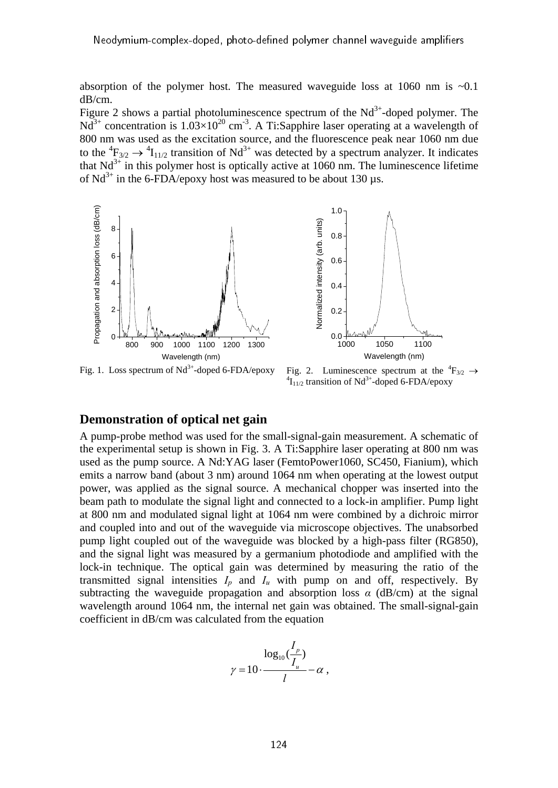absorption of the polymer host. The measured waveguide loss at 1060 nm is  $\sim 0.1$ dB/cm.

Figure 2 shows a partial photoluminescence spectrum of the  $Nd^{3+}$ -doped polymer. The  $Nd^{3+}$  concentration is  $1.03\times10^{20}$  cm<sup>-3</sup>. A Ti:Sapphire laser operating at a wavelength of 800 nm was used as the excitation source, and the fluorescence peak near 1060 nm due to the  ${}^{4}F_{3/2} \rightarrow {}^{4}I_{11/2}$  transition of Nd<sup>3+</sup> was detected by a spectrum analyzer. It indicates that  $Nd^{3+}$  in this polymer host is optically active at 1060 nm. The luminescence lifetime of  $Nd^{3+}$  in the 6-FDA/epoxy host was measured to be about 130 µs.



Fig. 2. Luminescence spectrum at the  ${}^{4}F_{3/2} \rightarrow$  ${}^{4}I_{11/2}$  transition of Nd<sup>3+</sup>-doped 6-FDA/epoxy

## **Demonstration of optical net gain**

A pump-probe method was used for the small-signal-gain measurement. A schematic of the experimental setup is shown in Fig. 3. A Ti:Sapphire laser operating at 800 nm was used as the pump source. A Nd:YAG laser (FemtoPower1060, SC450, Fianium), which emits a narrow band (about 3 nm) around 1064 nm when operating at the lowest output power, was applied as the signal source. A mechanical chopper was inserted into the beam path to modulate the signal light and connected to a lock-in amplifier. Pump light at 800 nm and modulated signal light at 1064 nm were combined by a dichroic mirror and coupled into and out of the waveguide via microscope objectives. The unabsorbed pump light coupled out of the waveguide was blocked by a high-pass filter (RG850), and the signal light was measured by a germanium photodiode and amplified with the lock-in technique. The optical gain was determined by measuring the ratio of the transmitted signal intensities  $I_p$  and  $I_u$  with pump on and off, respectively. By subtracting the waveguide propagation and absorption loss  $\alpha$  (dB/cm) at the signal wavelength around 1064 nm, the internal net gain was obtained. The small-signal-gain coefficient in dB/cm was calculated from the equation

$$
\log_{10} \left( \frac{I_p}{I_u} \right)
$$
  

$$
\gamma = 10 \cdot \frac{I_p}{I} - \alpha ,
$$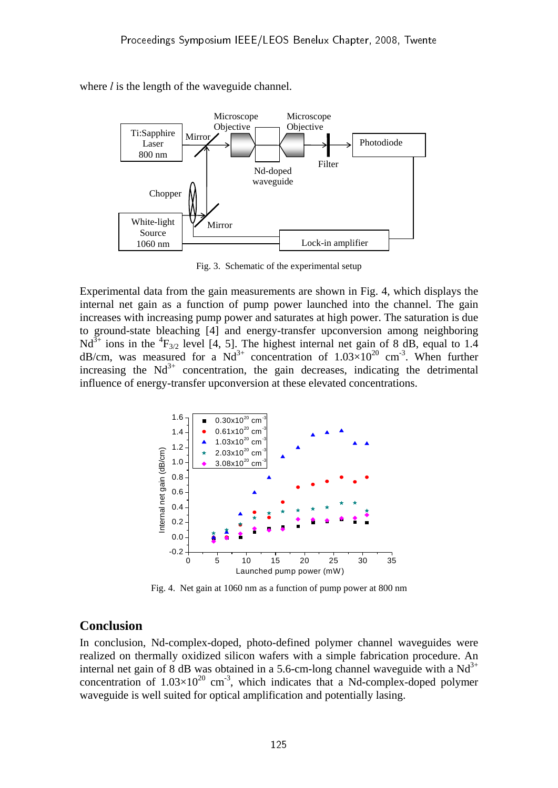where *l* is the length of the waveguide channel.



Fig. 3. Schematic of the experimental setup

Experimental data from the gain measurements are shown in Fig. 4, which displays the internal net gain as a function of pump power launched into the channel. The gain increases with increasing pump power and saturates at high power. The saturation is due to ground-state bleaching [4] and energy-transfer upconversion among neighboring Nd<sup>3+</sup> ions in the <sup>4</sup>F<sub>3/2</sub> level [4, 5]. The highest internal net gain of 8 dB, equal to 1.4 dB/cm, was measured for a  $Nd^{3+}$  concentration of  $1.03\times10^{20}$  cm<sup>-3</sup>. When further increasing the  $Nd^{3+}$  concentration, the gain decreases, indicating the detrimental influence of energy-transfer upconversion at these elevated concentrations.



Fig. 4. Net gain at 1060 nm as a function of pump power at 800 nm

### **Conclusion**

In conclusion, Nd-complex-doped, photo-defined polymer channel waveguides were realized on thermally oxidized silicon wafers with a simple fabrication procedure. An internal net gain of 8 dB was obtained in a 5.6-cm-long channel waveguide with a  $Nd<sup>3+</sup>$ concentration of  $1.03\times10^{20}$  cm<sup>-3</sup>, which indicates that a Nd-complex-doped polymer waveguide is well suited for optical amplification and potentially lasing.